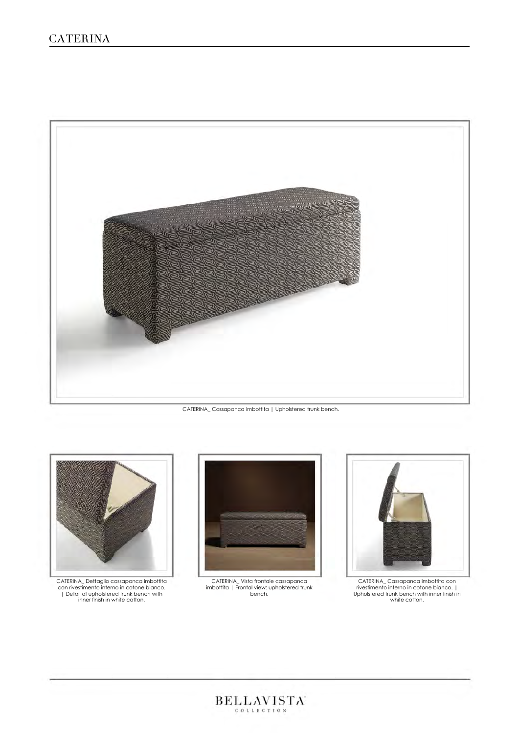

CATERINA\_ Cassapanca imbottita | Upholstered trunk bench.



CATERINA\_ Dettaglio cassapanca imbottita con rivestimento interno in cotone bianco. | Detail of upholstered trunk bench with inner finish in white cotton.



CATERINA\_ Vista frontale cassapanca imbottita | Frontal view: upholstered trunk bench.



CATERINA\_ Cassapanca imbottita con rivestimento interno in cotone bianco. | Upholstered trunk bench with inner finish in white cotton.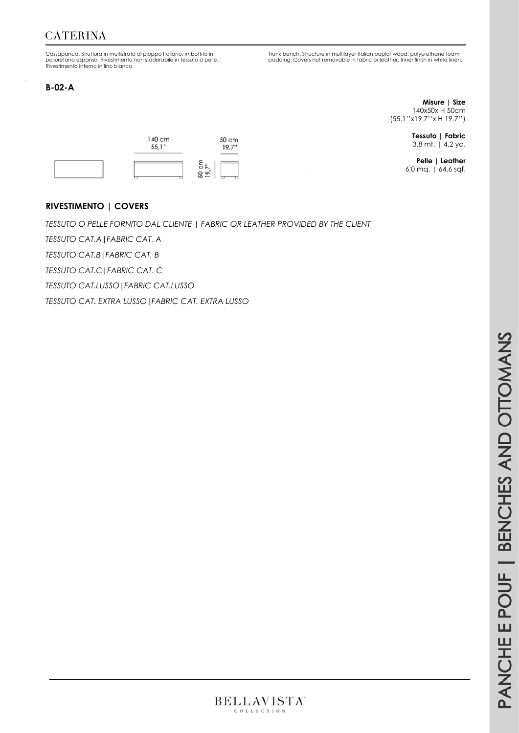# **CATERINA**

Cassapanca. Struttura in multistrato di pioppo Italiano, imbottito in poliuretano espanso, Rivestimento non sfoderabile in tessuto o pelle. Rivestimento interno in lino bianco.

#### **B-02-A**

Trunk bench. Structure in multilayer Italian poplar wood, polyurethane foam padding. Covers not removable in fabric or leather. Inner finish in white linen.

> **Misure | Size** 140x50x H 50cm (55.1''x19.7''x H 19.7'')

> > **Tessuto | Fabric** 3.8 mt. | 4.2 yd.

**Pelle | Leather** 6.0 mq. | 64.6 sqf.

#### **RIVESTIMENTO | COVERS**

*TESSUTO O PELLE FORNITO DAL CLIENTE* **|** *FABRIC OR LEATHER PROVIDED BY THE CLIENT*

*TESSUTO CAT.A***|***FABRIC CAT. A* 

*TESSUTO CAT.B***|***FABRIC CAT. B*

*TESSUTO CAT.C***|***FABRIC CAT. C*

*TESSUTO CAT.LUSSO***|***FABRIC CAT.LUSSO*

*TESSUTO CAT. EXTRA LUSSO***|***FABRIC CAT. EXTRA LUSSO*